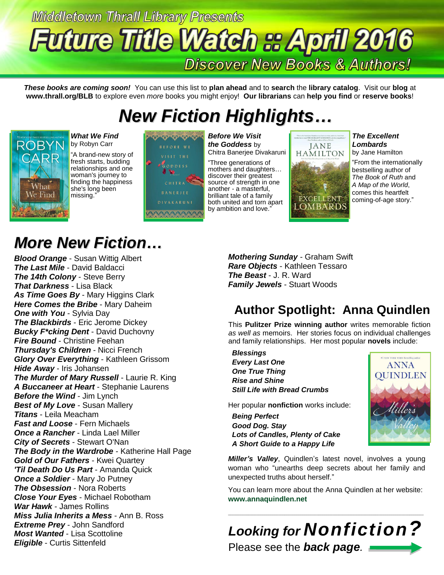# **Middletown Thrall Library Presents Future Title Watch & April 2016 Discover New Books & Authors!**

*These books are coming soon!* You can use this list to **plan ahead** and to **search** the **library catalog**. Visit our **blog** at **www.thrall.org/BLB** to explore even *more* books you might enjoy! **Our librarians** can **help you find** or **reserve books**!

# *New Fiction Highlights…*



*What We Find* by Robyn Carr

"A brand-new story of fresh starts, budding relationships and one woman's journey to finding the happiness she's long been missing."



*Before We Visit the Goddess* by Chitra Banerjee Divakaruni

"Three generations of mothers and daughters… discover their greatest source of strength in one another - a masterful, brilliant tale of a family both united and torn apart by ambition and love."





*The Excellent Lombards* by Jane Hamilton

"From the internationally bestselling author of *The Book of Ruth* and *A Map of the World*, comes this heartfelt coming-of-age story."

## *More New Fiction…*

*Blood Orange* - Susan Wittig Albert *The Last Mile* - David Baldacci *The 14th Colony* - Steve Berry *That Darkness* - Lisa Black *As Time Goes By* - Mary Higgins Clark *Here Comes the Bribe* - Mary Daheim *One with You* - Sylvia Day *The Blackbirds* - Eric Jerome Dickey *Bucky F\*cking Dent* - David Duchovny *Fire Bound* - Christine Feehan *Thursday's Children* - Nicci French *Glory Over Everything* - Kathleen Grissom *Hide Away* - Iris Johansen *The Murder of Mary Russell* - Laurie R. King *A Buccaneer at Heart* - Stephanie Laurens *Before the Wind* - Jim Lynch *Best of My Love* - Susan Mallery *Titans* - Leila Meacham *Fast and Loose* - Fern Michaels *Once a Rancher* - Linda Lael Miller *City of Secrets* - Stewart O'Nan *The Body in the Wardrobe* - Katherine Hall Page *Gold of Our Fathers* - Kwei Quartey *'Til Death Do Us Part* - Amanda Quick *Once a Soldier* - Mary Jo Putney *The Obsession* - Nora Roberts *Close Your Eyes* - Michael Robotham *War Hawk* - James Rollins *Miss Julia Inherits a Mess* - Ann B. Ross *Extreme Prey* - John Sandford *Most Wanted* - Lisa Scottoline *Eligible* - Curtis Sittenfeld

*Mothering Sunday* - Graham Swift *Rare Objects* - Kathleen Tessaro *The Beast* - J. R. Ward *Family Jewels* - Stuart Woods

### **Author Spotlight: Anna Quindlen**

This **Pulitzer Prize winning author** writes memorable fiction *as well as* memoirs. Her stories focus on individual challenges and family relationships. Her most popular **novels** include:

 *Blessings Every Last One One True Thing Rise and Shine Still Life with Bread Crumbs*

Her popular **nonfiction** works include:

 *Being Perfect Good Dog. Stay Lots of Candles, Plenty of Cake A Short Guide to a Happy Life*



*Miller's Valley*, Quindlen's latest novel, involves a young woman who "unearths deep secrets about her family and unexpected truths about herself."

You can learn more about the Anna Quindlen at her website: **[www.annaquindlen.net](http://www.annaquindlen.net/)**